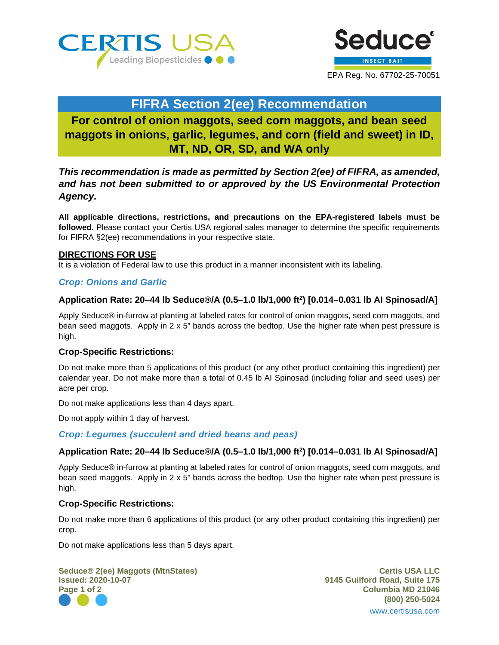



## **FIFRA Section 2(ee) Recommendation**

# **For control of onion maggots, seed corn maggots, and bean seed maggots in onions, garlic, legumes, and corn (field and sweet) in ID, MT, ND, OR, SD, and WA only**

## *This recommendation is made as permitted by Section 2(ee) of FIFRA, as amended, and has not been submitted to or approved by the US Environmental Protection Agency.*

**All applicable directions, restrictions, and precautions on the EPA-registered labels must be followed.** Please contact your Certis USA regional sales manager to determine the specific requirements for FIFRA §2(ee) recommendations in your respective state.

## **DIRECTIONS FOR USE**

It is a violation of Federal law to use this product in a manner inconsistent with its labeling.

## *Crop: Onions and Garlic*

## **Application Rate: 20–44 lb Seduce®/A (0.5–1.0 lb/1,000 ft2 ) [0.014–0.031 lb AI Spinosad/A]**

Apply Seduce® in-furrow at planting at labeled rates for control of onion maggots, seed corn maggots, and bean seed maggots. Apply in 2 x 5" bands across the bedtop. Use the higher rate when pest pressure is high.

#### **Crop-Specific Restrictions:**

Do not make more than 5 applications of this product (or any other product containing this ingredient) per calendar year. Do not make more than a total of 0.45 lb AI Spinosad (including foliar and seed uses) per acre per crop.

Do not make applications less than 4 days apart.

Do not apply within 1 day of harvest.

*Crop: Legumes (succulent and dried beans and peas)*

## **Application Rate: 20–44 lb Seduce®/A (0.5–1.0 lb/1,000 ft2 ) [0.014–0.031 lb AI Spinosad/A]**

Apply Seduce® in-furrow at planting at labeled rates for control of onion maggots, seed corn maggots, and bean seed maggots. Apply in 2 x 5" bands across the bedtop. Use the higher rate when pest pressure is high.

#### **Crop-Specific Restrictions:**

Do not make more than 6 applications of this product (or any other product containing this ingredient) per crop.

Do not make applications less than 5 days apart.

**Seduce® 2(ee) Maggots (MtnStates) Certis USA LLC Issued: 2020-10-07 9145 Guilford Road, Suite 175 Page 1 of 2 Columbia MD 21046**

**(800) 250-5024** [www.certisusa.com](http://www.certisusa.com/)